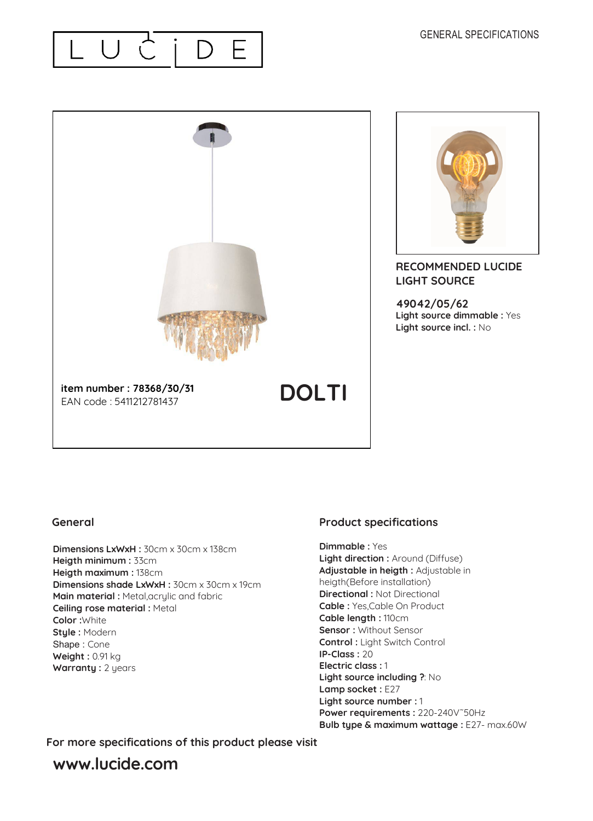



#### **General**

**Dimensions LxWxH :** 30cm x 30cm x 138cm **Heigth minimum :** 33cm **Heigth maximum :** 138cm **Dimensions shade LxWxH :** 30cm x 30cm x 19cm **Main material : Metal, acrylic and fabric Ceiling rose material :** Metal **Color :**White **Style :** Modern Shape : Cone **Weight :** 0.91 kg **Warranty :** 2 years

### **Product specifications**

**Dimmable :** Yes **Light direction :** Around (Diffuse) **Adjustable in heigth :** Adjustable in heigth(Before installation) **Directional : Not Directional Cable :** Yes,Cable On Product **Cable length :** 110cm **Sensor :** Without Sensor **Control :** Light Switch Control **IP-Class :** 20 **Electric class :** 1 **Light source including ?**: No Lamp socket : E27 **Light source number :** 1 **Power requirements :** 220-240V˜50Hz **Bulb type & maximum wattage :** E27- max.60W

**For more specifications of this product please visit**

## **www.lucide.com**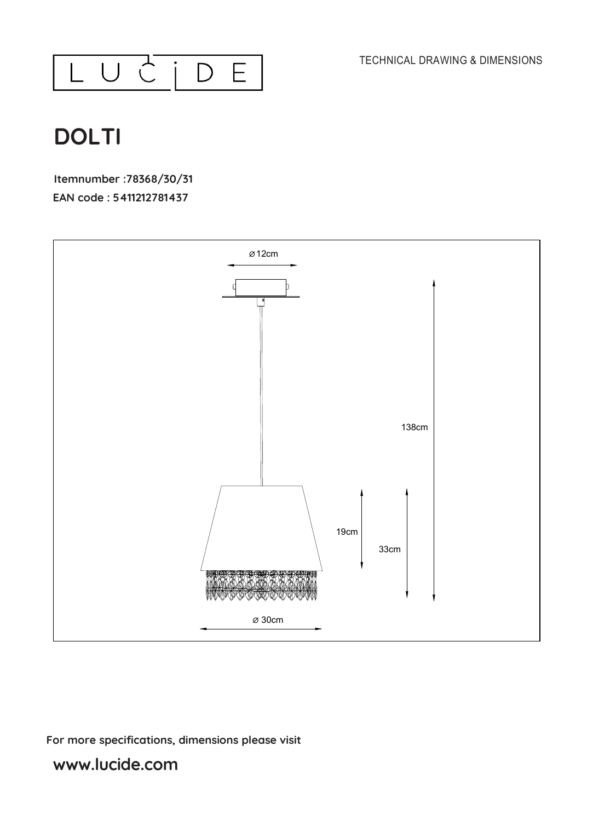



# **DOLTI**

**Itemnumber :78368/30/31 EAN code : 5411212781437**



### **For more specifications, dimensions please visit**

## **www.lucide.com**